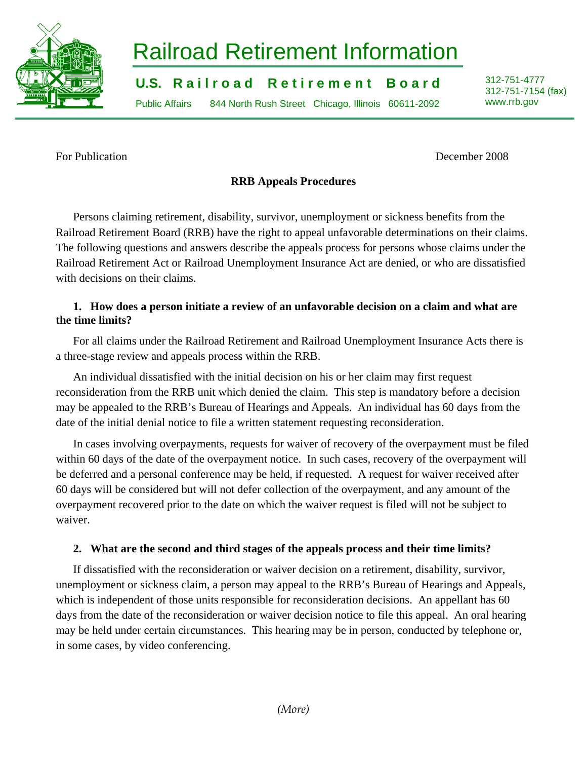

# Railroad Retirement Information

**U.S. Railroad Retirement Board** 312-751-4777

Public Affairs 844 North Rush Street Chicago, Illinois 60611-2092 www.rrb.gov

312-751-7154 (fax)

For Publication December 2008

# **RRB Appeals Procedures**

Persons claiming retirement, disability, survivor, unemployment or sickness benefits from the Railroad Retirement Board (RRB) have the right to appeal unfavorable determinations on their claims. The following questions and answers describe the appeals process for persons whose claims under the Railroad Retirement Act or Railroad Unemployment Insurance Act are denied, or who are dissatisfied with decisions on their claims.

## **1. How does a person initiate a review of an unfavorable decision on a claim and what are the time limits?**

For all claims under the Railroad Retirement and Railroad Unemployment Insurance Acts there is a three-stage review and appeals process within the RRB.

An individual dissatisfied with the initial decision on his or her claim may first request reconsideration from the RRB unit which denied the claim. This step is mandatory before a decision may be appealed to the RRB's Bureau of Hearings and Appeals. An individual has 60 days from the date of the initial denial notice to file a written statement requesting reconsideration.

In cases involving overpayments, requests for waiver of recovery of the overpayment must be filed within 60 days of the date of the overpayment notice. In such cases, recovery of the overpayment will be deferred and a personal conference may be held, if requested. A request for waiver received after 60 days will be considered but will not defer collection of the overpayment, and any amount of the overpayment recovered prior to the date on which the waiver request is filed will not be subject to waiver.

# **2. What are the second and third stages of the appeals process and their time limits?**

If dissatisfied with the reconsideration or waiver decision on a retirement, disability, survivor, unemployment or sickness claim, a person may appeal to the RRB's Bureau of Hearings and Appeals, which is independent of those units responsible for reconsideration decisions. An appellant has 60 days from the date of the reconsideration or waiver decision notice to file this appeal. An oral hearing may be held under certain circumstances. This hearing may be in person, conducted by telephone or, in some cases, by video conferencing.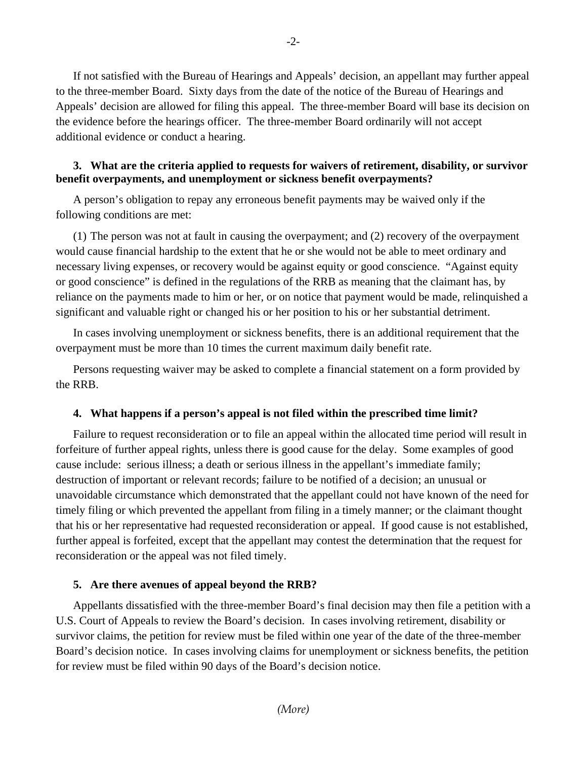If not satisfied with the Bureau of Hearings and Appeals' decision, an appellant may further appeal to the three-member Board. Sixty days from the date of the notice of the Bureau of Hearings and Appeals' decision are allowed for filing this appeal. The three-member Board will base its decision on the evidence before the hearings officer. The three-member Board ordinarily will not accept additional evidence or conduct a hearing.

## **3. What are the criteria applied to requests for waivers of retirement, disability, or survivor benefit overpayments, and unemployment or sickness benefit overpayments?**

A person's obligation to repay any erroneous benefit payments may be waived only if the following conditions are met:

(1) The person was not at fault in causing the overpayment; and (2) recovery of the overpayment would cause financial hardship to the extent that he or she would not be able to meet ordinary and necessary living expenses, or recovery would be against equity or good conscience. "Against equity or good conscience" is defined in the regulations of the RRB as meaning that the claimant has, by reliance on the payments made to him or her, or on notice that payment would be made, relinquished a significant and valuable right or changed his or her position to his or her substantial detriment.

In cases involving unemployment or sickness benefits, there is an additional requirement that the overpayment must be more than 10 times the current maximum daily benefit rate.

Persons requesting waiver may be asked to complete a financial statement on a form provided by the RRB.

#### **4. What happens if a person's appeal is not filed within the prescribed time limit?**

Failure to request reconsideration or to file an appeal within the allocated time period will result in forfeiture of further appeal rights, unless there is good cause for the delay. Some examples of good cause include: serious illness; a death or serious illness in the appellant's immediate family; destruction of important or relevant records; failure to be notified of a decision; an unusual or unavoidable circumstance which demonstrated that the appellant could not have known of the need for timely filing or which prevented the appellant from filing in a timely manner; or the claimant thought that his or her representative had requested reconsideration or appeal. If good cause is not established, further appeal is forfeited, except that the appellant may contest the determination that the request for reconsideration or the appeal was not filed timely.

#### **5. Are there avenues of appeal beyond the RRB?**

Appellants dissatisfied with the three-member Board's final decision may then file a petition with a U.S. Court of Appeals to review the Board's decision. In cases involving retirement, disability or survivor claims, the petition for review must be filed within one year of the date of the three-member Board's decision notice. In cases involving claims for unemployment or sickness benefits, the petition for review must be filed within 90 days of the Board's decision notice.